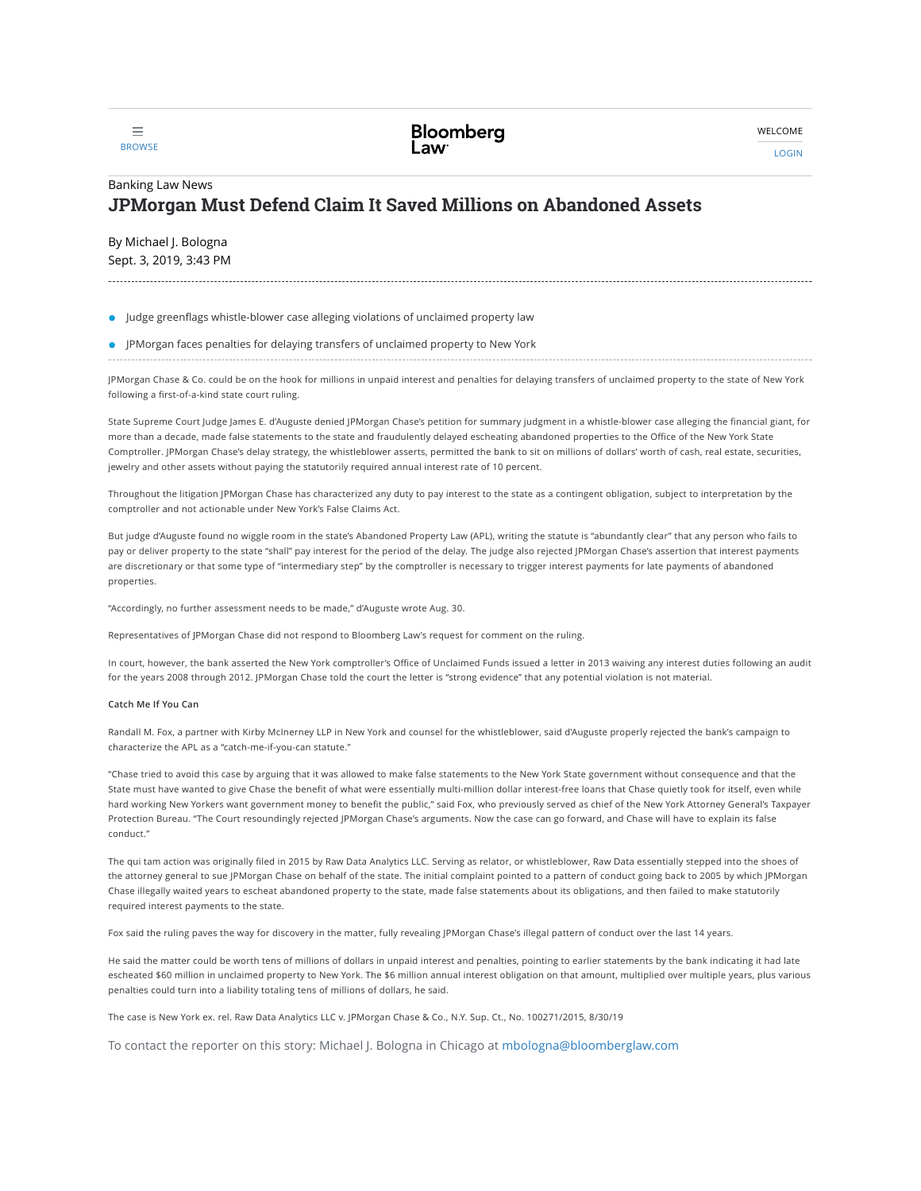

LOGIN

# [Banking](https://news.bloomberglaw.com/banking-law/) Law News JPMorgan Must Defend Claim It Saved Millions on Abandoned Assets

By Michael J. [Bologna](mailto:mbologna@bloomberglaw.com) Sept. 3, 2019, 3:43 PM

Judge greenflags whistle-blower case alleging violations of unclaimed property law

### JPMorgan faces penalties for delaying transfers of unclaimed property to New York

JPMorgan Chase & Co. could be on the hook for millions in unpaid interest and penalties for delaying transfers of unclaimed property to the state of New York following a first-of-a-kind state court ruling.

State Supreme Court Judge James E. d'Auguste [denied](http://src.bna.com/K4a) JPMorgan Chase's petition for summary judgment in a whistle-blower case alleging the financial giant, for more than a decade, made false statements to the state and fraudulently delayed escheating abandoned properties to the Office of the New York State Comptroller. JPMorgan Chase's delay strategy, the whistleblower asserts, permitted the bank to sit on millions of dollars' worth of cash, real estate, securities, jewelry and other assets without paying the statutorily required annual interest rate of 10 percent.

Throughout the litigation JPMorgan Chase has characterized any duty to pay interest to the state as a contingent obligation, subject to interpretation by the comptroller and not actionable under New York's False Claims Act.

But judge d'Auguste found no wiggle room in the state's Abandoned Property Law (APL), writing the statute is "abundantly clear" that any person who fails to pay or deliver property to the state "shall" pay interest for the period of the delay. The judge also rejected JPMorgan Chase's assertion that interest payments are discretionary or that some type of "intermediary step" by the comptroller is necessary to trigger interest payments for late payments of abandoned properties.

"Accordingly, no further assessment needs to be made," d'Auguste wrote Aug. 30.

Representatives of JPMorgan Chase did not respond to Bloomberg Law's request for comment on the ruling.

In court, however, the bank asserted the New York comptroller's Office of Unclaimed Funds issued a letter in 2013 waiving any interest duties following an audit for the years 2008 through 2012. JPMorgan Chase told the court the letter is "strong evidence" that any potential violation is not material.

#### Catch Me If You Can

Randall M. Fox, a partner with Kirby McInerney LLP in New York and counsel for the whistleblower, said d'Auguste properly rejected the bank's campaign to characterize the APL as a "catch-me-if-you-can statute."

"Chase tried to avoid this case by arguing that it was allowed to make false statements to the New York State government without consequence and that the State must have wanted to give Chase the benefit of what were essentially multi-million dollar interest-free loans that Chase quietly took for itself, even while hard working New Yorkers want government money to benefit the public," said Fox, who previously served as chief of the New York Attorney General's Taxpayer Protection Bureau. "The Court resoundingly rejected JPMorgan Chase's arguments. Now the case can go forward, and Chase will have to explain its false conduct."

The qui tam action was originally filed in 2015 by Raw Data Analytics LLC. Serving as relator, or whistleblower, Raw Data essentially stepped into the shoes of the attorney general to sue JPMorgan Chase on behalf of the state. The initial complaint pointed to a pattern of conduct going back to 2005 by which JPMorgan Chase illegally waited years to escheat abandoned property to the state, made false statements about its obligations, and then failed to make statutorily required interest payments to the state.

Fox said the ruling paves the way for discovery in the matter, fully revealing JPMorgan Chase's illegal pattern of conduct over the last 14 years.

He said the matter could be worth tens of millions of dollars in unpaid interest and penalties, pointing to earlier statements by the bank indicating it had late escheated \$60 million in unclaimed property to New York. The \$6 million annual interest obligation on that amount, multiplied over multiple years, plus various penalties could turn into a liability totaling tens of millions of dollars, he said.

The case is New York ex. rel. Raw Data Analytics LLC v. [JPMorgan](http://src.bna.com/K4a) Chase & Co., N.Y. Sup. Ct., No. 100271/2015, 8/30/19

To contact the reporter on this story: Michael J. Bologna in Chicago at [mbologna@bloomberglaw.com](mailto:mbologna@bloomberglaw.com)